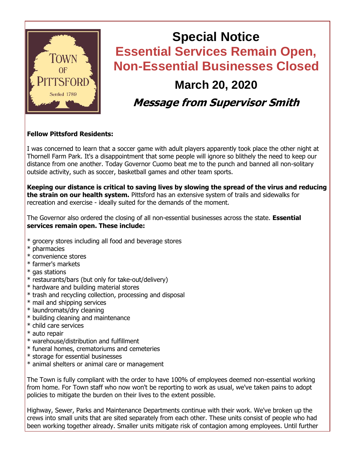

# **Special Notice Essential Services Remain Open, Non-Essential Businesses Closed March 20, 2020**

# **Message from Supervisor Smith**

#### **Fellow Pittsford Residents:**

I was concerned to learn that a soccer game with adult players apparently took place the other night at Thornell Farm Park. It's a disappointment that some people will ignore so blithely the need to keep our distance from one another. Today Governor Cuomo beat me to the punch and banned all non-solitary outside activity, such as soccer, basketball games and other team sports.

**Keeping our distance is critical to saving lives by slowing the spread of the virus and reducing the strain on our health system.** Pittsford has an extensive system of trails and sidewalks for recreation and exercise - ideally suited for the demands of the moment.

The Governor also ordered the closing of all non-essential businesses across the state. **Essential services remain open. These include:**

- \* grocery stores including all food and beverage stores
- \* pharmacies
- \* convenience stores
- \* farmer's markets
- \* gas stations
- \* restaurants/bars (but only for take-out/delivery)
- \* hardware and building material stores
- \* trash and recycling collection, processing and disposal
- \* mail and shipping services
- \* laundromats/dry cleaning
- \* building cleaning and maintenance
- \* child care services
- \* auto repair
- \* warehouse/distribution and fulfillment
- \* funeral homes, crematoriums and cemeteries
- \* storage for essential businesses
- \* animal shelters or animal care or management

The Town is fully compliant with the order to have 100% of employees deemed non-essential working from home. For Town staff who now won't be reporting to work as usual, we've taken pains to adopt policies to mitigate the burden on their lives to the extent possible.

Highway, Sewer, Parks and Maintenance Departments continue with their work. We've broken up the crews into small units that are sited separately from each other. These units consist of people who had been working together already. Smaller units mitigate risk of contagion among employees. Until further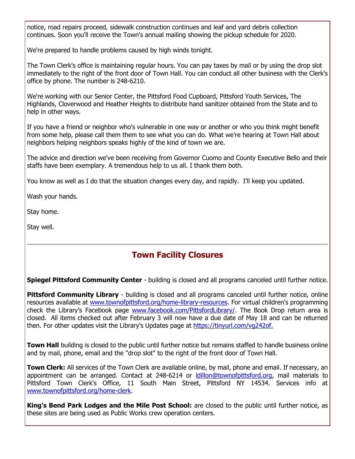notice, road repairs proceed, sidewalk construction continues and leaf and yard debris collection continues. Soon you'll receive the Town's annual mailing showing the pickup schedule for 2020.

We're prepared to handle problems caused by high winds tonight.

The Town Clerk's office is maintaining regular hours. You can pay taxes by mail or by using the drop slot immediately to the right of the front door of Town Hall. You can conduct all other business with the Clerk's office by phone. The number is 248-6210.

We're working with our Senior Center, the Pittsford Food Cupboard, Pittsford Youth Services, The Highlands, Cloverwood and Heather Heights to distribute hand sanitizer obtained from the State and to help in other ways.

If you have a friend or neighbor who's vulnerable in one way or another or who you think might benefit from some help, please call them them to see what you can do. What we're hearing at Town Hall about neighbors helping neighbors speaks highly of the kind of town we are.

The advice and direction we've been receiving from Governor Cuomo and County Executive Bello and their staffs have been exemplary. A tremendous help to us all. I thank them both.

You know as well as I do that the situation changes every day, and rapidly. I'll keep you updated.

Wash your hands.

Stay home.

Stay well.

### **Town Facility Closures**

**Spiegel Pittsford Community Center** - building is closed and all programs canceled until further notice.

**Pittsford Community Library** - building is closed and all programs canceled until further notice, online resources available at [www.townofpittsford.org/home-library-resources.](http://r20.rs6.net/tn.jsp?f=001xvelAUVMfisbHvbAhuySXdhkUEbWSzucYvCZUS7iRRXlXJeI_3FD4J37ayWJUJrhat5jlNEJemZIbaBtq2qmI6wng_ZDxhkSJjfAqAchNqePOCy98NUv5gNh6J9pXVlZwWs4mpLA5WY3fjZZNz_ZthptsinxKb_gAxM2wUMGREYykSFPWN_CshHddEvSJ0L65TTtsq_eFIshyzR9ZiRW5KvdKqvsuj-bbVRLCDq7yFjrqSh5VlY1v_wsDunDBYmr-TAzY7VBVZzm4sCCHsHUuwXZByJk3fFVCmciLaFa_iIRxrj98p_fPWijVoW4Hk0M52WbOJREHwD8uZYneHXOKvqH1G5vp-u22pu34f7NinOsXguuDJYiC0PNBQac20S8wB6nBv4hjN-PFilE_2dz4AHFT29tTYOnJr1YPcYf1dd3jAv_2n4-ma84C2xbkpsYdJ1bItBzteqi3xyHGfHz7QVFQmtk5lYqbtpTL_w-aRE=&c=QV-tdkA2bJoC7NN6BVocVDd-WtdC0Gotiv-UhbI3N5bZ2ltGRQOLgA==&ch=s2j2uluecIDfKlk8oBDmp2ubSZwSy8FV3FoDgIhBI2aVHejBYrxQZQ==) For virtual children's programming check the Library's Facebook page [www.facebook.com/PittsfordLibrary/.](http://r20.rs6.net/tn.jsp?f=001xvelAUVMfisbHvbAhuySXdhkUEbWSzucYvCZUS7iRRXlXJeI_3FD4BV0jjJvAkuWYbkZudmyVuyns5M_l0E6Hca7QJn_sdQNOsx8VhxhC-0GBfV7vV8sWJD9ljGl4qROOId0fnpCbgwssN1q1EAfcbp0igdfJ5pW-LXBac_YXI75wwBvjUHFiH5zI9MFufsZ5vYxFFiTnNk=&c=QV-tdkA2bJoC7NN6BVocVDd-WtdC0Gotiv-UhbI3N5bZ2ltGRQOLgA==&ch=s2j2uluecIDfKlk8oBDmp2ubSZwSy8FV3FoDgIhBI2aVHejBYrxQZQ==) The Book Drop return area is closed. All items checked out after February 3 will now have a due date of May 18 and can be returned then. For other updates visit the Library's Updates page at [https://tinyurl.com/vg242of.](http://r20.rs6.net/tn.jsp?f=001xvelAUVMfisbHvbAhuySXdhkUEbWSzucYvCZUS7iRRXlXJeI_3FD4BV0jjJvAkuWI98kWltdkw6G7nKzfkZoHTEW0mj1_khgFReZv5iqvD26Hm8XX_1-opxVaG7m4vyKjjd4IFMNfUBfIFxUuEANS-y0NOibbGW7X_PHC9zu0g77P1xRUkVLbA==&c=QV-tdkA2bJoC7NN6BVocVDd-WtdC0Gotiv-UhbI3N5bZ2ltGRQOLgA==&ch=s2j2uluecIDfKlk8oBDmp2ubSZwSy8FV3FoDgIhBI2aVHejBYrxQZQ==)

**Town Hall** building is closed to the public until further notice but remains staffed to handle business online and by mail, phone, email and the "drop slot" to the right of the front door of Town Hall.

**Town Clerk:** All services of the Town Clerk are available online, by mail, phone and email. If necessary, an appointment can be arranged. Contact at 248-6214 or [ldillon@townofpittsford.org,](mailto:ldillon@townofpittsford.org) mail materials to Pittsford Town Clerk's Office, 11 South Main Street, Pittsford NY 14534. Services info at [www.townofpittsford.org/home-clerk.](http://r20.rs6.net/tn.jsp?f=001xvelAUVMfisbHvbAhuySXdhkUEbWSzucYvCZUS7iRRXlXJeI_3FD4J37ayWJUJrh-GZlT9PP835vX23bDRviZ8gowM4WRx43V4PwpIvR3IpNAF-4yI4Gq3rvxzLGKj8KtIuIWHJ8MTa3n1qhCg6ZvxjMsCmN4OyDpvP0mk5HEj2uuCYtiP7VgGksBuLKh2Dopq7rKCFbPdR1f3-VFkhNNdGZeCJho4G5aPimkCL3AWcmeApqgfGsBTg169MVjgIamJxp6tR31KaiwnpRUXJDGg7sVuiWcBvVL5ITwbiQuNTATfXLtZ7_Tnzz_TRvOZi5CN6srVxCRR0cExUx2vuPqvqk5UPPHiS_ZzwbUb9TZNbwvBbUQGwFbm5MIB1hXFNAnMOKMuIIY3ZD3yolPyJHootFKovCIYLdyFE04tWBEORr3bepVlEqICL6diwW0Dh-WZ0FZjNibeB6kJ1CTURqeg==&c=QV-tdkA2bJoC7NN6BVocVDd-WtdC0Gotiv-UhbI3N5bZ2ltGRQOLgA==&ch=s2j2uluecIDfKlk8oBDmp2ubSZwSy8FV3FoDgIhBI2aVHejBYrxQZQ==)

**King's Bend Park Lodges and the Mile Post School:** are closed to the public until further notice, as these sites are being used as Public Works crew operation centers.